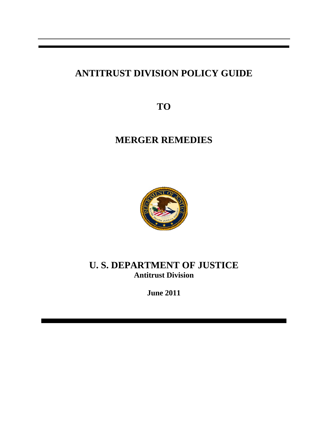# **ANTITRUST DIVISION POLICY GUIDE**

**TO** 

# **MERGER REMEDIES**



# **U. S. DEPARTMENT OF JUSTICE Antitrust Division**

**June 2011**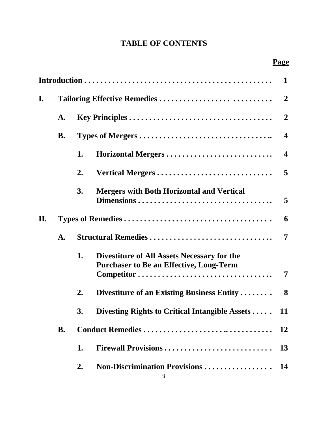# **TABLE OF CONTENTS**

|     |                              |                     |                                                                                               | $\mathbf{1}$            |  |  |
|-----|------------------------------|---------------------|-----------------------------------------------------------------------------------------------|-------------------------|--|--|
| I.  | Tailoring Effective Remedies |                     |                                                                                               |                         |  |  |
|     | A.                           |                     |                                                                                               |                         |  |  |
|     | <b>B.</b>                    |                     |                                                                                               |                         |  |  |
|     |                              | 1.                  |                                                                                               | $\overline{\mathbf{4}}$ |  |  |
|     |                              | 2.                  | Vertical Mergers                                                                              | $\overline{5}$          |  |  |
|     |                              | 3.                  | <b>Mergers with Both Horizontal and Vertical</b>                                              | $5\overline{)}$         |  |  |
| II. |                              |                     |                                                                                               |                         |  |  |
|     | $\mathbf{A}$ .               | Structural Remedies |                                                                                               |                         |  |  |
|     |                              | 1.                  | Divestiture of All Assets Necessary for the<br><b>Purchaser to Be an Effective, Long-Term</b> | 7                       |  |  |
|     |                              | 2.                  | Divestiture of an Existing Business Entity                                                    | 8                       |  |  |
|     |                              | 3.                  | Divesting Rights to Critical Intangible Assets                                                | 11                      |  |  |
|     | <b>B.</b>                    |                     |                                                                                               | 12                      |  |  |
|     |                              | 1.                  | Firewall Provisions                                                                           | <b>13</b>               |  |  |
|     |                              | 2.                  |                                                                                               |                         |  |  |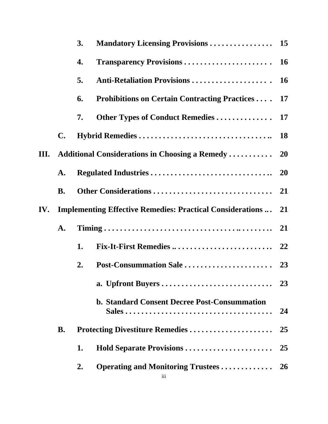|      |                | 3.                                                                   |                                                         |           |  |
|------|----------------|----------------------------------------------------------------------|---------------------------------------------------------|-----------|--|
|      |                | 4.                                                                   |                                                         |           |  |
|      |                | 5.                                                                   |                                                         |           |  |
|      |                | 6.                                                                   | <b>Prohibitions on Certain Contracting Practices</b> 17 |           |  |
|      |                | 7.                                                                   |                                                         |           |  |
|      | $\mathbf{C}$ . |                                                                      |                                                         |           |  |
| III. |                |                                                                      |                                                         |           |  |
|      | ${\bf A}$ .    |                                                                      |                                                         |           |  |
|      | <b>B.</b>      |                                                                      |                                                         |           |  |
| IV.  |                | <b>Implementing Effective Remedies: Practical Considerations </b> 21 |                                                         |           |  |
|      | A.             |                                                                      |                                                         |           |  |
|      |                | 1.                                                                   |                                                         |           |  |
|      |                | 2.                                                                   |                                                         |           |  |
|      |                |                                                                      |                                                         |           |  |
|      |                |                                                                      | <b>b. Standard Consent Decree Post-Consummation</b>     | 24        |  |
|      | <b>B.</b>      | Protecting Divestiture Remedies                                      |                                                         |           |  |
|      |                | 1.                                                                   | Hold Separate Provisions                                | 25        |  |
|      |                | 2.                                                                   | <b>Operating and Monitoring Trustees </b>               | <b>26</b> |  |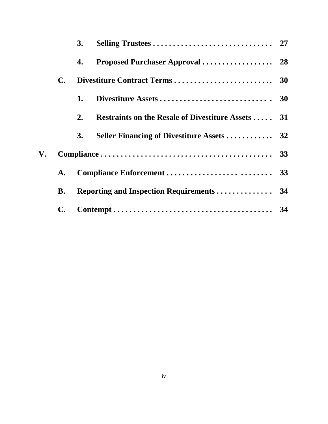|    |                | 3. |                                                          |  |
|----|----------------|----|----------------------------------------------------------|--|
|    |                | 4. |                                                          |  |
|    | <b>C.</b>      |    |                                                          |  |
|    |                | 1. |                                                          |  |
|    |                | 2. | <b>Restraints on the Resale of Divestiture Assets 31</b> |  |
|    |                | 3. |                                                          |  |
| V. |                |    |                                                          |  |
|    | $\mathbf{A}$ . |    |                                                          |  |
|    | В.             |    |                                                          |  |
|    | $\mathbf{C}$ . |    |                                                          |  |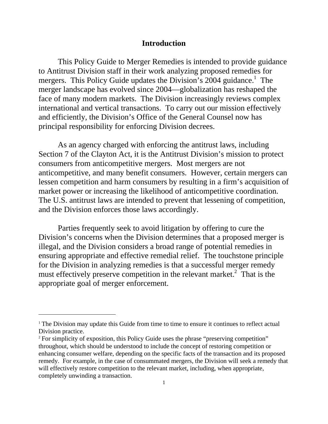#### **Introduction**

<span id="page-4-0"></span>This Policy Guide to Merger Remedies is intended to provide guidance to Antitrust Division staff in their work analyzing proposed remedies for mergers. This Policy Guide updates the Division's 2004 guidance.<sup>1</sup> The merger landscape has evolved since 2004—globalization has reshaped the face of many modern markets. The Division increasingly reviews complex international and vertical transactions. To carry out our mission effectively and efficiently, the Division's Office of the General Counsel now has principal responsibility for enforcing Division decrees.

As an agency charged with enforcing the antitrust laws, including Section 7 of the Clayton Act, it is the Antitrust Division's mission to protect consumers from anticompetitive mergers. Most mergers are not anticompetitive, and many benefit consumers. However, certain mergers can lessen competition and harm consumers by resulting in a firm's acquisition of market power or increasing the likelihood of anticompetitive coordination. The U.S. antitrust laws are intended to prevent that lessening of competition, and the Division enforces those laws accordingly.

Parties frequently seek to avoid litigation by offering to cure the Division's concerns when the Division determines that a proposed merger is illegal, and the Division considers a broad range of potential remedies in ensuring appropriate and effective remedial relief. The touchstone principle for the Division in analyzing remedies is that a successful merger remedy must effectively preserve competition in the relevant market.<sup>2</sup> That is the appropriate goal of merger enforcement.

 $1$ <sup>1</sup> The Division may update this Guide from time to time to ensure it continues to reflect actual Division practice.

<sup>&</sup>lt;sup>2</sup> For simplicity of exposition, this Policy Guide uses the phrase "preserving competition" throughout, which should be understood to include the concept of restoring competition or enhancing consumer welfare, depending on the specific facts of the transaction and its proposed remedy. For example, in the case of consummated mergers, the Division will seek a remedy that will effectively restore competition to the relevant market, including, when appropriate, completely unwinding a transaction.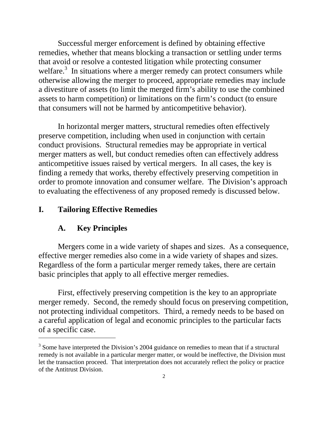<span id="page-5-0"></span>Successful merger enforcement is defined by obtaining effective remedies, whether that means blocking a transaction or settling under terms that avoid or resolve a contested litigation while protecting consumer welfare.<sup>3</sup> In situations where a merger remedy can protect consumers while otherwise allowing the merger to proceed, appropriate remedies may include a divestiture of assets (to limit the merged firm's ability to use the combined assets to harm competition) or limitations on the firm's conduct (to ensure that consumers will not be harmed by anticompetitive behavior).

In horizontal merger matters, structural remedies often effectively preserve competition, including when used in conjunction with certain conduct provisions. Structural remedies may be appropriate in vertical merger matters as well, but conduct remedies often can effectively address anticompetitive issues raised by vertical mergers. In all cases, the key is finding a remedy that works, thereby effectively preserving competition in order to promote innovation and consumer welfare. The Division's approach to evaluating the effectiveness of any proposed remedy is discussed below.

# **I. Tailoring Effective Remedies**

#### **A. Key Principles**

 $\overline{a}$ 

Mergers come in a wide variety of shapes and sizes. As a consequence, effective merger remedies also come in a wide variety of shapes and sizes. Regardless of the form a particular merger remedy takes, there are certain basic principles that apply to all effective merger remedies.

First, effectively preserving competition is the key to an appropriate merger remedy. Second, the remedy should focus on preserving competition, not protecting individual competitors. Third, a remedy needs to be based on a careful application of legal and economic principles to the particular facts of a specific case.

 $3$  Some have interpreted the Division's 2004 guidance on remedies to mean that if a structural remedy is not available in a particular merger matter, or would be ineffective, the Division must let the transaction proceed. That interpretation does not accurately reflect the policy or practice of the Antitrust Division.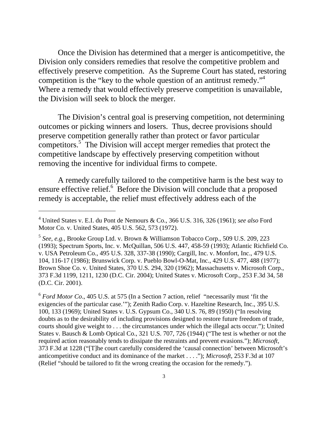competition is the "key to the whole question of an antitrust remedy."<sup>4</sup> Once the Division has determined that a merger is anticompetitive, the Division only considers remedies that resolve the competitive problem and effectively preserve competition. As the Supreme Court has stated, restoring Where a remedy that would effectively preserve competition is unavailable, the Division will seek to block the merger.

The Division's central goal is preserving competition, not determining outcomes or picking winners and losers. Thus, decree provisions should preserve competition generally rather than protect or favor particular competitors.5 The Division will accept merger remedies that protect the competitive landscape by effectively preserving competition without removing the incentive for individual firms to compete.

A remedy carefully tailored to the competitive harm is the best way to ensure effective relief.<sup>6</sup> Before the Division will conclude that a proposed remedy is acceptable, the relief must effectively address each of the

 $\overline{a}$ 

<sup>6</sup>*Ford Motor Co*., 405 U.S. at 575 (In a Section 7 action, relief "necessarily must 'fit the exigencies of the particular case.'"); Zenith Radio Corp. v. Hazeltine Research, Inc., 395 U.S. 100, 133 (1969); United States v. U.S. Gypsum Co., 340 U.S. 76, 89 (1950) ("In resolving doubts as to the desirability of including provisions designed to restore future freedom of trade, courts should give weight to . . . the circumstances under which the illegal acts occur."); United States v. Bausch & Lomb Optical Co., 321 U.S. 707, 726 (1944) ("The test is whether or not the required action reasonably tends to dissipate the restraints and prevent evasions."); *Microsoft*, 373 F.3d at 1228 ("[T]he court carefully considered the 'causal connection' between Microsoft's anticompetitive conduct and its dominance of the market . . . ."); *Microsoft*, 253 F.3d at 107 (Relief "should be tailored to fit the wrong creating the occasion for the remedy.").

[<sup>4</sup>](#page-7-0) United States v. E.I. du Pont de Nemours & Co., 366 U.S. 316, 326 (1961); *see also* Ford Motor Co*.* v. United States, 405 U.S. 562, 573 (1972).

<sup>5</sup>*See, e.g.*, Brooke Group Ltd. v. Brown & Williamson Tobacco Corp., 509 U.S. 209, 223 (1993); Spectrum Sports, Inc. v. McQuillan, 506 U.S. 447, 458-59 (1993); Atlantic Richfield Co. v. USA Petroleum Co., 495 U.S. 328, 337-38 (1990); Cargill, Inc. v. Monfort, Inc., 479 U.S. 104, 116-17 (1986); Brunswick Corp. v. Pueblo Bowl-O-Mat, Inc., 429 U.S. 477, 488 (1977); Brown Shoe Co. v. United States, 370 U.S. 294, 320 (1962); Massachusetts v. Microsoft Corp., 373 F.3d 1199, 1211, 1230 (D.C. Cir. 2004); United States v. Microsoft Corp., 253 F.3d 34, 58 (D.C. Cir. 2001).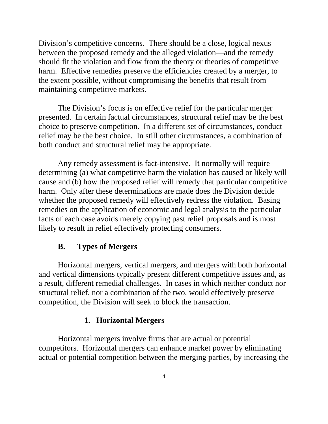<span id="page-7-0"></span>Division's competitive concerns. There should be a close, logical nexus between the proposed remedy and the alleged violation—and the remedy should fit the violation and flow from the theory or theories of competitive harm. Effective remedies preserve the efficiencies created by a merger, to the extent possible, without compromising the benefits that result from maintaining competitive markets.

The Division's focus is on effective relief for the particular merger presented. In certain factual circumstances, structural relief may be the best choice to preserve competition. In a different set of circumstances, conduct relief may be the best choice. In still other circumstances, a combination of both conduct and structural relief may be appropriate.

Any remedy assessment is fact-intensive. It normally will require determining (a) what competitive harm the violation has caused or likely will cause and (b) how the proposed relief will remedy that particular competitive harm. Only after these determinations are made does the Division decide whether the proposed remedy will effectively redress the violation. Basing remedies on the application of economic and legal analysis to the particular facts of each case avoids merely copying past relief proposals and is most likely to result in relief effectively protecting consumers.

### **B. Types of Mergers**

Horizontal mergers, vertical mergers, and mergers with both horizontal and vertical dimensions typically present different competitive issues and, as a result, different remedial challenges. In cases in which neither conduct nor structural relief, nor a combination of the two, would effectively preserve competition, the Division will seek to block the transaction.

## **1. Horizontal Mergers**

Horizontal mergers involve firms that are actual or potential competitors. Horizontal mergers can enhance market power by eliminating actual or potential competition between the merging parties, by increasing the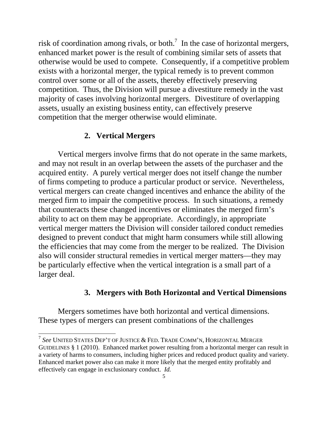<span id="page-8-0"></span>risk of coordination among rivals, or both.<sup>7</sup> In the case of horizontal mergers, enhanced market power is the result of combining similar sets of assets that otherwise would be used to compete. Consequently, if a competitive problem exists with a horizontal merger, the typical remedy is to prevent common control over some or all of the assets, thereby effectively preserving competition. Thus, the Division will pursue a divestiture remedy in the vast majority of cases involving horizontal mergers. Divestiture of overlapping assets, usually an existing business entity, can effectively preserve competition that the merger otherwise would eliminate.

# **2. Vertical Mergers**

Vertical mergers involve firms that do not operate in the same markets, and may not result in an overlap between the assets of the purchaser and the acquired entity. A purely vertical merger does not itself change the number of firms competing to produce a particular product or service. Nevertheless, vertical mergers can create changed incentives and enhance the ability of the merged firm to impair the competitive process. In such situations, a remedy that counteracts these changed incentives or eliminates the merged firm's ability to act on them may be appropriate. Accordingly, in appropriate vertical merger matters the Division will consider tailored conduct remedies designed to prevent conduct that might harm consumers while still allowing the efficiencies that may come from the merger to be realized. The Division also will consider structural remedies in vertical merger matters—they may be particularly effective when the vertical integration is a small part of a larger deal.

# **3. Mergers with Both Horizontal and Vertical Dimensions**

Mergers sometimes have both horizontal and vertical dimensions. These types of mergers can present combinations of the challenges

 <sup>7</sup>*See* UNITED STATES DEP'T OF JUSTICE & FED. TRADE COMM'N, HORIZONTAL MERGER GUIDELINES § 1 (2010). Enhanced market power resulting from a horizontal merger can result in a variety of harms to consumers, including higher prices and reduced product quality and variety. Enhanced market power also can make it more likely that the merged entity profitably and effectively can engage in exclusionary conduct. *Id.*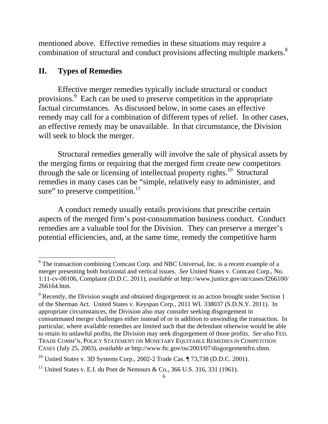<span id="page-9-0"></span>mentioned above. Effective remedies in these situations may require a combination of structural and conduct provisions affecting multiple markets.<sup>8</sup>

## **II. Types of Remedies**

Effective merger remedies typically include structural or conduct provisions.9 Each can be used to preserve competition in the appropriate factual circumstances. As discussed below, in some cases an effective remedy may call for a combination of different types of relief. In other cases, an effective remedy may be unavailable. In that circumstance, the Division will seek to block the merger.

Structural remedies generally will involve the sale of physical assets by the merging firms or requiring that the merged firm create new competitors through the sale or licensing of intellectual property rights.<sup>10</sup> Structural remedies in many cases can be "simple, relatively easy to administer, and sure" to preserve competition. $^{11}$ 

A conduct remedy usually entails provisions that prescribe certain aspects of the merged firm's post-consummation business conduct. Conduct remedies are a valuable tool for the Division. They can preserve a merger's potential efficiencies, and, at the same time, remedy the competitive harm

<sup>&</sup>lt;sup>8</sup> The transaction combining Comcast Corp. and NBC Universal, Inc. is a recent example of a merger presenting both horizontal and vertical issues. *See* United States v. Comcast Corp., No. 1:11-cv-00106, Complaint (D.D.C. 2011), *available at* http://www.justice.gov/atr/cases/f266100/ 266164.htm.

 $9^9$  Recently, the Division sought and obtained disgorgement in an action brought under Section 1 of the Sherman Act. United States v. Keyspan Corp., 2011 WL 338037 (S.D.N.Y. 2011). In appropriate circumstances, the Division also may consider seeking disgorgement in consummated merger challenges either instead of or in addition to unwinding the transaction. In particular, where available remedies are limited such that the defendant otherwise would be able to retain its unlawful profits, the Division may seek disgorgement of those profits. *See also* FED. TRADE COMM'N, POLICY STATEMENT ON MONETARY EQUITABLE REMEDIES IN COMPETITION CASES (July 25, 2003), *available at* http://www.ftc.gov/os/2003/07/disgorgementfrn.shtm.

<sup>&</sup>lt;sup>10</sup> United States v. 3D Systems Corp., 2002-2 Trade Cas.  $\P$  73,738 (D.D.C. 2001).

<sup>&</sup>lt;sup>11</sup> United States v. E.I. du Pont de Nemours & Co., 366 U.S. 316, 331 (1961).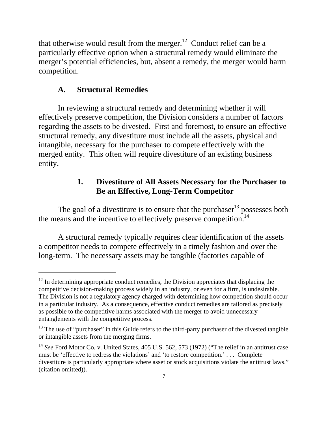<span id="page-10-0"></span>that otherwise would result from the merger.<sup>12</sup> Conduct relief can be a particularly effective option when a structural remedy would eliminate the merger's potential efficiencies, but, absent a remedy, the merger would harm competition.

## **A. Structural Remedies**

 $\overline{a}$ 

In reviewing a structural remedy and determining whether it will effectively preserve competition, the Division considers a number of factors regarding the assets to be divested. First and foremost, to ensure an effective structural remedy, any divestiture must include all the assets, physical and intangible, necessary for the purchaser to compete effectively with the merged entity. This often will require divestiture of an existing business entity.

# **1. Divestiture of All Assets Necessary for the Purchaser to Be an Effective, Long-Term Competitor**

The goal of a divestiture is to ensure that the purchaser<sup>13</sup> possesses both the means and the incentive to effectively preserve competition.<sup>14</sup>

A structural remedy typically requires clear identification of the assets a competitor needs to compete effectively in a timely fashion and over the long-term. The necessary assets may be tangible (factories capable of

 $12$  In determining appropriate conduct remedies, the Division appreciates that displacing the competitive decision-making process widely in an industry, or even for a firm, is undesirable. The Division is not a regulatory agency charged with determining how competition should occur in a particular industry. As a consequence, effective conduct remedies are tailored as precisely as possible to the competitive harms associated with the merger to avoid unnecessary entanglements with the competitive process.

<sup>&</sup>lt;sup>13</sup> The use of "purchaser" in this Guide refers to the third-party purchaser of the divested tangible or intangible assets from the merging firms.

<sup>&</sup>lt;sup>14</sup> See Ford Motor Co. v. United States, 405 U.S. 562, 573 (1972) ("The relief in an antitrust case must be 'effective to redress the violations' and 'to restore competition.' . . . Complete divestiture is particularly appropriate where asset or stock acquisitions violate the antitrust laws." (citation omitted)).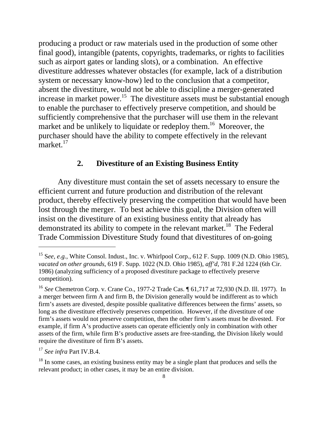<span id="page-11-0"></span>producing a product or raw materials used in the production of some other final good), intangible (patents, copyrights, trademarks, or rights to facilities such as airport gates or landing slots), or a combination. An effective divestiture addresses whatever obstacles (for example, lack of a distribution system or necessary know-how) led to the conclusion that a competitor, absent the divestiture, would not be able to discipline a merger-generated increase in market power.<sup>15</sup> The divestiture assets must be substantial enough to enable the purchaser to effectively preserve competition, and should be sufficiently comprehensive that the purchaser will use them in the relevant market and be unlikely to liquidate or redeploy them.<sup>16</sup> Moreover, the purchaser should have the ability to compete effectively in the relevant market.<sup>17</sup>

## **2. Divestiture of an Existing Business Entity**

Any divestiture must contain the set of assets necessary to ensure the efficient current and future production and distribution of the relevant product, thereby effectively preserving the competition that would have been lost through the merger. To best achieve this goal, the Division often will insist on the divestiture of an existing business entity that already has demonstrated its ability to compete in the relevant market.<sup>18</sup> The Federal Trade Commission Divestiture Study found that divestitures of on-going

<sup>15</sup> S*ee, e.g.*, White Consol. Indust., Inc. v. Whirlpool Corp., 612 F. Supp. 1009 (N.D. Ohio 1985), *vacated on other grounds*, 619 F. Supp. 1022 (N.D. Ohio 1985), *aff'd*, 781 F.2d 1224 (6th Cir. 1986) (analyzing sufficiency of a proposed divestiture package to effectively preserve competition).

<sup>16</sup>*See* Chemetron Corp. v. Crane Co., 1977-2 Trade Cas. ¶ 61,717 at 72,930 (N.D. Ill. 1977). In a merger between firm A and firm B, the Division generally would be indifferent as to which firm's assets are divested, despite possible qualitative differences between the firms' assets, so long as the divestiture effectively preserves competition. However, if the divestiture of one firm's assets would not preserve competition, then the other firm's assets must be divested. For example, if firm A's productive assets can operate efficiently only in combination with other assets of the firm, while firm B's productive assets are free-standing, the Division likely would require the divestiture of firm B's assets.

 <sup>17</sup>*See infra* Part IV.B.4.

<sup>&</sup>lt;sup>18</sup> In some cases, an existing business entity may be a single plant that produces and sells the relevant product; in other cases, it may be an entire division.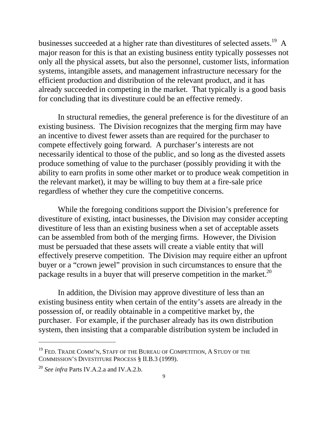businesses succeeded at a higher rate than divestitures of selected assets.<sup>19</sup> A major reason for this is that an existing business entity typically possesses not only all the physical assets, but also the personnel, customer lists, information systems, intangible assets, and management infrastructure necessary for the efficient production and distribution of the relevant product, and it has already succeeded in competing in the market. That typically is a good basis for concluding that its divestiture could be an effective remedy.

In structural remedies, the general preference is for the divestiture of an existing business. The Division recognizes that the merging firm may have an incentive to divest fewer assets than are required for the purchaser to compete effectively going forward. A purchaser's interests are not necessarily identical to those of the public, and so long as the divested assets produce something of value to the purchaser (possibly providing it with the ability to earn profits in some other market or to produce weak competition in the relevant market), it may be willing to buy them at a fire-sale price regardless of whether they cure the competitive concerns.

While the foregoing conditions support the Division's preference for divestiture of existing, intact businesses, the Division may consider accepting divestiture of less than an existing business when a set of acceptable assets can be assembled from both of the merging firms. However, the Division must be persuaded that these assets will create a viable entity that will effectively preserve competition. The Division may require either an upfront buyer or a "crown jewel" provision in such circumstances to ensure that the package results in a buyer that will preserve competition in the market.<sup>20</sup>

In addition, the Division may approve divestiture of less than an existing business entity when certain of the entity's assets are already in the possession of, or readily obtainable in a competitive market by, the purchaser. For example, if the purchaser already has its own distribution system, then insisting that a comparable distribution system be included in

 $^{19}$  Fed. Trade Comm'n, Staff of the Bureau of Competition, A Study of the COMMISSION'S DIVESTITURE PROCESS § II.B.3 (1999).

<sup>20</sup>*See infra* Parts IV.A.2.a and IV.A.2.b.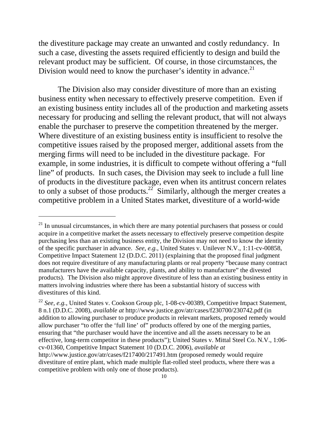the divestiture package may create an unwanted and costly redundancy. In such a case, divesting the assets required efficiently to design and build the relevant product may be sufficient. Of course, in those circumstances, the Division would need to know the purchaser's identity in advance.<sup>21</sup>

The Division also may consider divestiture of more than an existing business entity when necessary to effectively preserve competition. Even if an existing business entity includes all of the production and marketing assets necessary for producing and selling the relevant product, that will not always enable the purchaser to preserve the competition threatened by the merger. Where divestiture of an existing business entity is insufficient to resolve the competitive issues raised by the proposed merger, additional assets from the merging firms will need to be included in the divestiture package. For example, in some industries, it is difficult to compete without offering a "full line" of products. In such cases, the Division may seek to include a full line of products in the divestiture package, even when its antitrust concern relates to only a subset of those products.<sup>22</sup> Similarly, although the merger creates a competitive problem in a United States market, divestiture of a world-wide

 $21$  In unusual circumstances, in which there are many potential purchasers that possess or could acquire in a competitive market the assets necessary to effectively preserve competition despite purchasing less than an existing business entity, the Division may not need to know the identity of the specific purchaser in advance. *See, e.g.*, United States v. Unilever N.V., 1:11-cv-00858, Competitive Impact Statement 12 (D.D.C. 2011) (explaining that the proposed final judgment does not require divestiture of any manufacturing plants or real property "because many contract manufacturers have the available capacity, plants, and ability to manufacture" the divested products). The Division also might approve divestiture of less than an existing business entity in matters involving industries where there has been a substantial history of success with divestitures of this kind.

<sup>&</sup>lt;sup>22</sup> See, e.g., United States v. Cookson Group plc, 1-08-cv-00389, Competitive Impact Statement, 8 n.1 (D.D.C. 2008), *available at* http://www.justice.gov/atr/cases/f230700/230742.pdf (in addition to allowing purchaser to produce products in relevant markets, proposed remedy would allow purchaser "to offer the 'full line' of" products offered by one of the merging parties, ensuring that "the purchaser would have the incentive and all the assets necessary to be an effective, long-term competitor in these products"); United States v. Mittal Steel Co. N.V., 1:06 cv-01360, Competitive Impact Statement 10 (D.D.C. 2006), *available at*  http://www.justice.gov/atr/cases/f217400/217491.htm (proposed remedy would require divestiture of entire plant, which made multiple flat-rolled steel products, where there was a competitive problem with only one of those products).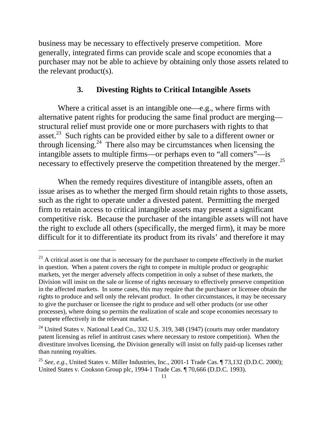<span id="page-14-0"></span>business may be necessary to effectively preserve competition. More generally, integrated firms can provide scale and scope economies that a purchaser may not be able to achieve by obtaining only those assets related to the relevant product(s).

#### **3. Divesting Rights to Critical Intangible Assets**

necessary to effectively preserve the competition threatened by the merger.<sup>25</sup> Where a critical asset is an intangible one—e.g., where firms with alternative patent rights for producing the same final product are merging structural relief must provide one or more purchasers with rights to that asset.<sup>23</sup> Such rights can be provided either by sale to a different owner or through licensing.<sup>24</sup> There also may be circumstances when licensing the intangible assets to multiple firms—or perhaps even to "all comers"—is

When the remedy requires divestiture of intangible assets, often an issue arises as to whether the merged firm should retain rights to those assets, such as the right to operate under a divested patent. Permitting the merged firm to retain access to critical intangible assets may present a significant competitive risk. Because the purchaser of the intangible assets will not have the right to exclude all others (specifically, the merged firm), it may be more difficult for it to differentiate its product from its rivals' and therefore it may

 $^{23}$  A critical asset is one that is necessary for the purchaser to compete effectively in the market in question. When a patent covers the right to compete in multiple product or geographic markets, yet the merger adversely affects competition in only a subset of these markets, the Division will insist on the sale or license of rights necessary to effectively preserve competition in the affected markets. In some cases, this may require that the purchaser or licensee obtain the rights to produce and sell only the relevant product. In other circumstances, it may be necessary to give the purchaser or licensee the right to produce and sell other products (or use other processes), where doing so permits the realization of scale and scope economies necessary to compete effectively in the relevant market.

<sup>&</sup>lt;sup>24</sup> United States v. National Lead Co., 332 U.S. 319, 348 (1947) (courts may order mandatory patent licensing as relief in antitrust cases where necessary to restore competition). When the divestiture involves licensing, the Division generally will insist on fully paid-up licenses rather than running royalties.

<sup>&</sup>lt;sup>25</sup> See, e.g., United States v. Miller Industries, Inc., 2001-1 Trade Cas. ¶ 73,132 (D.D.C. 2000); United States v. Cookson Group plc, 1994-1 Trade Cas. ¶ 70,666 (D.D.C. 1993).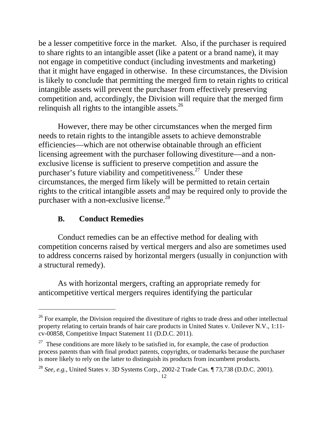<span id="page-15-0"></span>be a lesser competitive force in the market. Also, if the purchaser is required to share rights to an intangible asset (like a patent or a brand name), it may not engage in competitive conduct (including investments and marketing) that it might have engaged in otherwise. In these circumstances, the Division is likely to conclude that permitting the merged firm to retain rights to critical intangible assets will prevent the purchaser from effectively preserving competition and, accordingly, the Division will require that the merged firm relinquish all rights to the intangible assets. $^{26}$ 

However, there may be other circumstances when the merged firm needs to retain rights to the intangible assets to achieve demonstrable efficiencies—which are not otherwise obtainable through an efficient licensing agreement with the purchaser following divestiture—and a nonexclusive license is sufficient to preserve competition and assure the purchaser's future viability and competitiveness.<sup>27</sup> Under these circumstances, the merged firm likely will be permitted to retain certain rights to the critical intangible assets and may be required only to provide the purchaser with a non-exclusive license.<sup>28</sup>

## **B. Conduct Remedies**

 $\overline{a}$ 

Conduct remedies can be an effective method for dealing with competition concerns raised by vertical mergers and also are sometimes used to address concerns raised by horizontal mergers (usually in conjunction with a structural remedy).

As with horizontal mergers, crafting an appropriate remedy for anticompetitive vertical mergers requires identifying the particular

<sup>&</sup>lt;sup>26</sup> For example, the Division required the divestiture of rights to trade dress and other intellectual property relating to certain brands of hair care products in United States v. Unilever N.V., 1:11 cv-00858, Competitive Impact Statement 11 (D.D.C. 2011).

 $27$  These conditions are more likely to be satisfied in, for example, the case of production process patents than with final product patents, copyrights, or trademarks because the purchaser is more likely to rely on the latter to distinguish its products from incumbent products.

<sup>28</sup>*See, e.g.*, United States v. 3D Systems Corp., 2002-2 Trade Cas. ¶ 73,738 (D.D.C. 2001).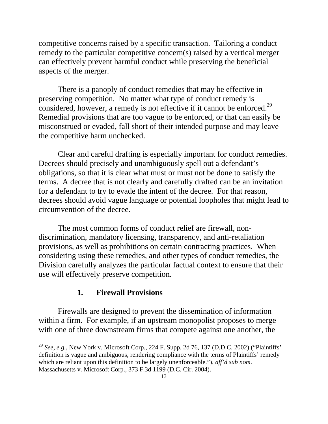<span id="page-16-0"></span>competitive concerns raised by a specific transaction. Tailoring a conduct remedy to the particular competitive concern(s) raised by a vertical merger can effectively prevent harmful conduct while preserving the beneficial aspects of the merger.

considered, however, a remedy is not effective if it cannot be enforced.<sup>29</sup> There is a panoply of conduct remedies that may be effective in preserving competition. No matter what type of conduct remedy is Remedial provisions that are too vague to be enforced, or that can easily be misconstrued or evaded, fall short of their intended purpose and may leave the competitive harm unchecked.

Clear and careful drafting is especially important for conduct remedies. Decrees should precisely and unambiguously spell out a defendant's obligations, so that it is clear what must or must not be done to satisfy the terms. A decree that is not clearly and carefully drafted can be an invitation for a defendant to try to evade the intent of the decree. For that reason, decrees should avoid vague language or potential loopholes that might lead to circumvention of the decree.

The most common forms of conduct relief are firewall, nondiscrimination, mandatory licensing, transparency, and anti-retaliation provisions, as well as prohibitions on certain contracting practices. When considering using these remedies, and other types of conduct remedies, the Division carefully analyzes the particular factual context to ensure that their use will effectively preserve competition.

# **1. Firewall Provisions**

 $\overline{a}$ 

Firewalls are designed to prevent the dissemination of information within a firm. For example, if an upstream monopolist proposes to merge with one of three downstream firms that compete against one another, the

<sup>29</sup>*See, e.g.*, New York v. Microsoft Corp., 224 F. Supp. 2d 76, 137 (D.D.C. 2002) ("Plaintiffs' definition is vague and ambiguous, rendering compliance with the terms of Plaintiffs' remedy which are reliant upon this definition to be largely unenforceable."), *aff'd sub nom*. Massachusetts v. Microsoft Corp., 373 F.3d 1199 (D.C. Cir. 2004).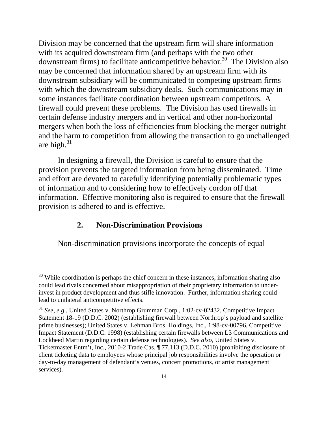<span id="page-17-0"></span> some instances facilitate coordination between upstream competitors. A Division may be concerned that the upstream firm will share information with its acquired downstream firm (and perhaps with the two other downstream firms) to facilitate anticompetitive behavior.<sup>30</sup> The Division also may be concerned that information shared by an upstream firm with its downstream subsidiary will be communicated to competing upstream firms with which the downstream subsidiary deals. Such communications may in firewall could prevent these problems. The Division has used firewalls in certain defense industry mergers and in vertical and other non-horizontal mergers when both the loss of efficiencies from blocking the merger outright and the harm to competition from allowing the transaction to go unchallenged are high. $31$ 

In designing a firewall, the Division is careful to ensure that the provision prevents the targeted information from being disseminated. Time and effort are devoted to carefully identifying potentially problematic types of information and to considering how to effectively cordon off that information. Effective monitoring also is required to ensure that the firewall provision is adhered to and is effective.

#### **2. Non-Discrimination Provisions**

 $\overline{a}$ 

Non-discrimination provisions incorporate the concepts of equal

 $30$  While coordination is perhaps the chief concern in these instances, information sharing also could lead rivals concerned about misappropriation of their proprietary information to underinvest in product development and thus stifle innovation. Further, information sharing could lead to unilateral anticompetitive effects.

<sup>31</sup>*See, e.g.*, United States v. Northrop Grumman Corp., 1:02-cv-02432, Competitive Impact Statement 18-19 (D.D.C. 2002) (establishing firewall between Northrop's payload and satellite prime businesses); United States v. Lehman Bros. Holdings, Inc., 1:98-cv-00796, Competitive Impact Statement (D.D.C. 1998) (establishing certain firewalls between L3 Communications and Lockheed Martin regarding certain defense technologies). *See also*, United States v. Ticketmaster Entm't, Inc., 2010-2 Trade Cas. ¶ 77,113 (D.D.C. 2010) (prohibiting disclosure of client ticketing data to employees whose principal job responsibilities involve the operation or day-to-day management of defendant's venues, concert promotions, or artist management services).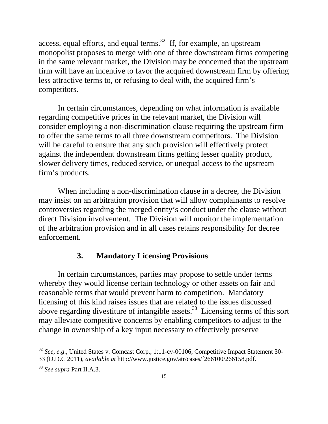<span id="page-18-0"></span>access, equal efforts, and equal terms.<sup>32</sup> If, for example, an upstream monopolist proposes to merge with one of three downstream firms competing in the same relevant market, the Division may be concerned that the upstream firm will have an incentive to favor the acquired downstream firm by offering less attractive terms to, or refusing to deal with, the acquired firm's competitors.

In certain circumstances, depending on what information is available regarding competitive prices in the relevant market, the Division will consider employing a non-discrimination clause requiring the upstream firm to offer the same terms to all three downstream competitors. The Division will be careful to ensure that any such provision will effectively protect against the independent downstream firms getting lesser quality product, slower delivery times, reduced service, or unequal access to the upstream firm's products.

When including a non-discrimination clause in a decree, the Division may insist on an arbitration provision that will allow complainants to resolve controversies regarding the merged entity's conduct under the clause without direct Division involvement. The Division will monitor the implementation of the arbitration provision and in all cases retains responsibility for decree enforcement.

#### **3. Mandatory Licensing Provisions**

In certain circumstances, parties may propose to settle under terms whereby they would license certain technology or other assets on fair and reasonable terms that would prevent harm to competition. Mandatory licensing of this kind raises issues that are related to the issues discussed above regarding divestiture of intangible assets.<sup>33</sup> Licensing terms of this sort may alleviate competitive concerns by enabling competitors to adjust to the change in ownership of a key input necessary to effectively preserve

<sup>&</sup>lt;sup>32</sup> See, e.g., United States v. Comcast Corp., 1:11-cv-00106, Competitive Impact Statement 30-33 (D.D.C 2011), *available at* http://www.justice.gov/atr/cases/f266100/266158.pdf.

<sup>33</sup>*See supra* Part II.A.3.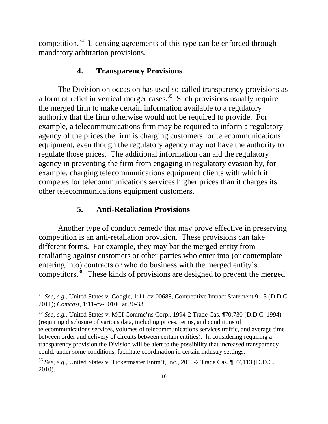<span id="page-19-0"></span>competition.<sup>34</sup> Licensing agreements of this type can be enforced through mandatory arbitration provisions.

#### **4. Transparency Provisions**

The Division on occasion has used so-called transparency provisions as a form of relief in vertical merger cases.<sup>35</sup> Such provisions usually require the merged firm to make certain information available to a regulatory authority that the firm otherwise would not be required to provide. For example, a telecommunications firm may be required to inform a regulatory agency of the prices the firm is charging customers for telecommunications equipment, even though the regulatory agency may not have the authority to regulate those prices. The additional information can aid the regulatory agency in preventing the firm from engaging in regulatory evasion by, for example, charging telecommunications equipment clients with which it competes for telecommunications services higher prices than it charges its other telecommunications equipment customers.

## **5. Anti-Retaliation Provisions**

 $\overline{a}$ 

Another type of conduct remedy that may prove effective in preserving competition is an anti-retaliation provision. These provisions can take different forms. For example, they may bar the merged entity from retaliating against customers or other parties who enter into (or contemplate entering into) contracts or who do business with the merged entity's competitors.<sup>36</sup> These kinds of provisions are designed to prevent the merged

<sup>&</sup>lt;sup>34</sup> See, e.g., United States v. Google, 1:11-cv-00688, Competitive Impact Statement 9-13 (D.D.C. 2011); *Comcast*, 1:11-cv-00106 at 30-33.

<sup>35</sup>*See, e.g.*, United States v. MCI Commc'ns Corp., 1994-2 Trade Cas. ¶70,730 (D.D.C. 1994) (requiring disclosure of various data, including prices, terms, and conditions of telecommunications services, volumes of telecommunications services traffic, and average time between order and delivery of circuits between certain entities). In considering requiring a transparency provision the Division will be alert to the possibility that increased transparency could, under some conditions, facilitate coordination in certain industry settings.

<sup>36</sup>*See, e.g.*, United States v. Ticketmaster Entm't, Inc., 2010-2 Trade Cas. ¶ 77,113 (D.D.C. 2010).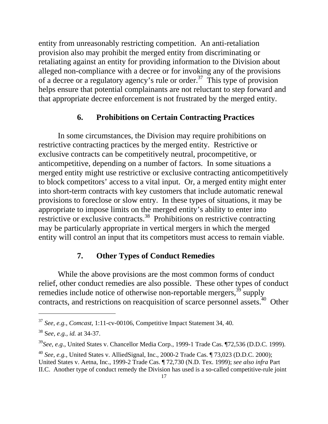<span id="page-20-0"></span>entity from unreasonably restricting competition. An anti-retaliation provision also may prohibit the merged entity from discriminating or retaliating against an entity for providing information to the Division about alleged non-compliance with a decree or for invoking any of the provisions of a decree or a regulatory agency's rule or order.<sup>37</sup> This type of provision helps ensure that potential complainants are not reluctant to step forward and that appropriate decree enforcement is not frustrated by the merged entity.

# **6. Prohibitions on Certain Contracting Practices**

In some circumstances, the Division may require prohibitions on restrictive contracting practices by the merged entity. Restrictive or exclusive contracts can be competitively neutral, procompetitive, or anticompetitive, depending on a number of factors. In some situations a merged entity might use restrictive or exclusive contracting anticompetitively to block competitors' access to a vital input. Or, a merged entity might enter into short**-**term contracts with key customers that include automatic renewal provisions to foreclose or slow entry. In these types of situations, it may be appropriate to impose limits on the merged entity's ability to enter into restrictive or exclusive contracts.<sup>38</sup> Prohibitions on restrictive contracting may be particularly appropriate in vertical mergers in which the merged entity will control an input that its competitors must access to remain viable.

## **7. Other Types of Conduct Remedies**

While the above provisions are the most common forms of conduct relief, other conduct remedies are also possible. These other types of conduct remedies include notice of otherwise non-reportable mergers,  $39^{\circ}$  supply contracts, and restrictions on reacquisition of scarce personnel assets.<sup>40</sup> Other

<sup>37</sup>*See, e.g.*, *Comcast*, 1:11-cv-00106, Competitive Impact Statement 34, 40.

<sup>38</sup> S*ee, e.g.*, *id.* at 34-37.

<sup>39</sup>*See, e.g*., United States v. Chancellor Media Corp., 1999-1 Trade Cas. ¶72,536 (D.D.C. 1999).

<sup>40</sup>*See, e.g.*, United States v. AlliedSignal, Inc., 2000-2 Trade Cas. ¶ 73,023 (D.D.C. 2000); United States v. Aetna, Inc., 1999-2 Trade Cas. ¶ 72,730 (N.D. Tex. 1999); *see also infra* Part II.C. Another type of conduct remedy the Division has used is a so-called competitive-rule joint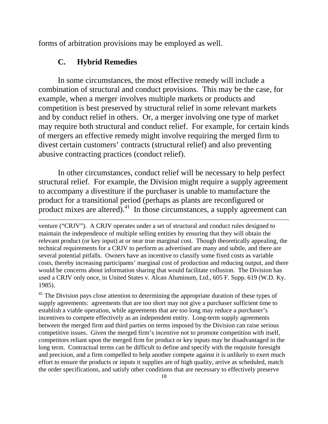<span id="page-21-0"></span>forms of arbitration provisions may be employed as well.

#### **C. Hybrid Remedies**

 $\overline{a}$ 

In some circumstances, the most effective remedy will include a combination of structural and conduct provisions. This may be the case, for example, when a merger involves multiple markets or products and competition is best preserved by structural relief in some relevant markets and by conduct relief in others. Or, a merger involving one type of market may require both structural and conduct relief. For example, for certain kinds of mergers an effective remedy might involve requiring the merged firm to divest certain customers' contracts (structural relief) and also preventing abusive contracting practices (conduct relief).

In other circumstances, conduct relief will be necessary to help perfect structural relief. For example, the Division might require a supply agreement to accompany a divestiture if the purchaser is unable to manufacture the product for a transitional period (perhaps as plants are reconfigured or product mixes are altered). $41$  In those circumstances, a supply agreement can

 $41$  The Division pays close attention to determining the appropriate duration of these types of supply agreements: agreements that are too short may not give a purchaser sufficient time to establish a viable operation, while agreements that are too long may reduce a purchaser's incentives to compete effectively as an independent entity. Long-term supply agreements between the merged firm and third parties on terms imposed by the Division can raise serious competitive issues. Given the merged firm's incentive not to promote competition with itself, competitors reliant upon the merged firm for product or key inputs may be disadvantaged in the long term. Contractual terms can be difficult to define and specify with the requisite foresight and precision, and a firm compelled to help another compete against it is unlikely to exert much effort to ensure the products or inputs it supplies are of high quality, arrive as scheduled, match the order specifications, and satisfy other conditions that are necessary to effectively preserve

venture ("CRJV"). A CRJV operates under a set of structural and conduct rules designed to maintain the independence of multiple selling entities by ensuring that they will obtain the relevant product (or key input) at or near true marginal cost. Though theoretically appealing, the technical requirements for a CRJV to perform as advertised are many and subtle, and there are several potential pitfalls. Owners have an incentive to classify some fixed costs as variable costs, thereby increasing participants' marginal cost of production and reducing output, and there would be concerns about information sharing that would facilitate collusion. The Division has used a CRJV only once, in United States v. Alcan Aluminum, Ltd., 605 F. Supp. 619 (W.D. Ky. 1985).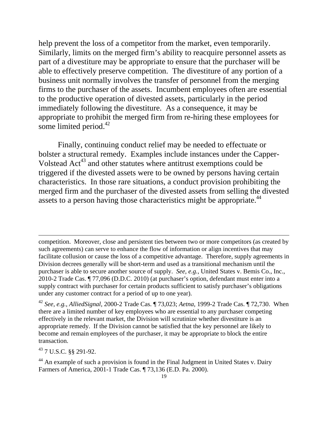help prevent the loss of a competitor from the market, even temporarily. Similarly, limits on the merged firm's ability to reacquire personnel assets as part of a divestiture may be appropriate to ensure that the purchaser will be able to effectively preserve competition. The divestiture of any portion of a business unit normally involves the transfer of personnel from the merging firms to the purchaser of the assets. Incumbent employees often are essential to the productive operation of divested assets, particularly in the period immediately following the divestiture. As a consequence, it may be appropriate to prohibit the merged firm from re-hiring these employees for some limited period. $42$ 

Finally, continuing conduct relief may be needed to effectuate or bolster a structural remedy. Examples include instances under the Capper-Volstead  $Act^{43}$  and other statutes where antitrust exemptions could be triggered if the divested assets were to be owned by persons having certain characteristics. In those rare situations, a conduct provision prohibiting the merged firm and the purchaser of the divested assets from selling the divested assets to a person having those characteristics might be appropriate.<sup>44</sup>

competition. Moreover, close and persistent ties between two or more competitors (as created by such agreements) can serve to enhance the flow of information or align incentives that may facilitate collusion or cause the loss of a competitive advantage. Therefore, supply agreements in Division decrees generally will be short-term and used as a transitional mechanism until the purchaser is able to secure another source of supply. *See, e.g.*, United States v. Bemis Co., Inc., 2010-2 Trade Cas. ¶ 77,096 (D.D.C. 2010) (at purchaser's option, defendant must enter into a supply contract with purchaser for certain products sufficient to satisfy purchaser's obligations under any customer contract for a period of up to one year).

<sup>42</sup>*See, e.g.*, *AlliedSignal*, 2000-2 Trade Cas. ¶ 73,023; *Aetna*, 1999-2 Trade Cas. ¶ 72,730. When there are a limited number of key employees who are essential to any purchaser competing effectively in the relevant market, the Division will scrutinize whether divestiture is an appropriate remedy. If the Division cannot be satisfied that the key personnel are likely to become and remain employees of the purchaser, it may be appropriate to block the entire transaction.

43 7 U.S.C. §§ 291-92.

 $\overline{a}$ 

<sup>44</sup> An example of such a provision is found in the Final Judgment in United States v. Dairy Farmers of America, 2001-1 Trade Cas. ¶ 73,136 (E.D. Pa. 2000).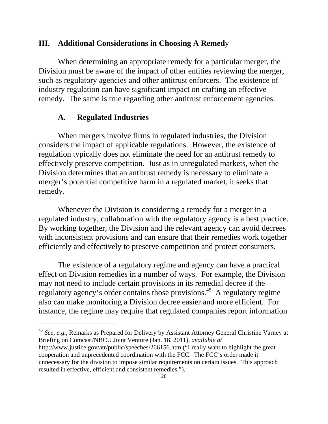## <span id="page-23-0"></span>**III. Additional Considerations in Choosing A Remed**y

When determining an appropriate remedy for a particular merger, the Division must be aware of the impact of other entities reviewing the merger, such as regulatory agencies and other antitrust enforcers. The existence of industry regulation can have significant impact on crafting an effective remedy. The same is true regarding other antitrust enforcement agencies.

## **A. Regulated Industries**

 $\overline{a}$ 

When mergers involve firms in regulated industries, the Division considers the impact of applicable regulations. However, the existence of regulation typically does not eliminate the need for an antitrust remedy to effectively preserve competition. Just as in unregulated markets, when the Division determines that an antitrust remedy is necessary to eliminate a merger's potential competitive harm in a regulated market, it seeks that remedy.

Whenever the Division is considering a remedy for a merger in a regulated industry, collaboration with the regulatory agency is a best practice. By working together, the Division and the relevant agency can avoid decrees with inconsistent provisions and can ensure that their remedies work together efficiently and effectively to preserve competition and protect consumers.

The existence of a regulatory regime and agency can have a practical effect on Division remedies in a number of ways. For example, the Division may not need to include certain provisions in its remedial decree if the regulatory agency's order contains those provisions.<sup>45</sup> A regulatory regime also can make monitoring a Division decree easier and more efficient. For instance, the regime may require that regulated companies report information

<sup>45</sup>*See, e.g.*, Remarks as Prepared for Delivery by Assistant Attorney General Christine Varney at Briefing on Comcast/NBCU Joint Venture (Jan. 18, 2011), *available at* 

http://www.justice.gov/atr/public/speeches/266156.htm ("I really want to highlight the great cooperation and unprecedented coordination with the FCC. The FCC's order made it unnecessary for the division to impose similar requirements on certain issues. This approach resulted in effective, efficient and consistent remedies.").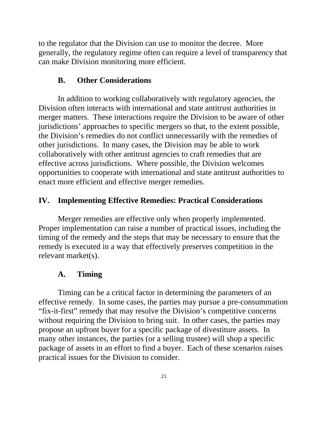<span id="page-24-0"></span>to the regulator that the Division can use to monitor the decree. More generally, the regulatory regime often can require a level of transparency that can make Division monitoring more efficient.

#### **B. Other Considerations**

In addition to working collaboratively with regulatory agencies, the Division often interacts with international and state antitrust authorities in merger matters. These interactions require the Division to be aware of other jurisdictions' approaches to specific mergers so that, to the extent possible, the Division's remedies do not conflict unnecessarily with the remedies of other jurisdictions. In many cases, the Division may be able to work collaboratively with other antitrust agencies to craft remedies that are effective across jurisdictions. Where possible, the Division welcomes opportunities to cooperate with international and state antitrust authorities to enact more efficient and effective merger remedies.

#### **IV. Implementing Effective Remedies: Practical Considerations**

Merger remedies are effective only when properly implemented. Proper implementation can raise a number of practical issues, including the timing of the remedy and the steps that may be necessary to ensure that the remedy is executed in a way that effectively preserves competition in the relevant market(s).

## **A. Timing**

Timing can be a critical factor in determining the parameters of an effective remedy. In some cases, the parties may pursue a pre-consummation "fix-it-first" remedy that may resolve the Division's competitive concerns without requiring the Division to bring suit. In other cases, the parties may propose an upfront buyer for a specific package of divestiture assets. In many other instances, the parties (or a selling trustee) will shop a specific package of assets in an effort to find a buyer. Each of these scenarios raises practical issues for the Division to consider.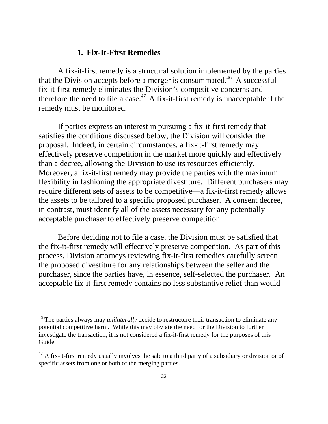#### **1. Fix-It-First Remedies**

<span id="page-25-0"></span>A fix-it-first remedy is a structural solution implemented by the parties that the Division accepts before a merger is consummated.<sup>46</sup> A successful fix-it-first remedy eliminates the Division's competitive concerns and therefore the need to file a case.<sup> $47$ </sup> A fix-it-first remedy is unacceptable if the remedy must be monitored.

If parties express an interest in pursuing a fix-it-first remedy that satisfies the conditions discussed below, the Division will consider the proposal. Indeed, in certain circumstances, a fix-it-first remedy may effectively preserve competition in the market more quickly and effectively than a decree, allowing the Division to use its resources efficiently. Moreover, a fix-it-first remedy may provide the parties with the maximum flexibility in fashioning the appropriate divestiture. Different purchasers may require different sets of assets to be competitive—a fix-it-first remedy allows the assets to be tailored to a specific proposed purchaser. A consent decree, in contrast, must identify all of the assets necessary for any potentially acceptable purchaser to effectively preserve competition.

Before deciding not to file a case, the Division must be satisfied that the fix-it-first remedy will effectively preserve competition. As part of this process, Division attorneys reviewing fix-it-first remedies carefully screen the proposed divestiture for any relationships between the seller and the purchaser, since the parties have, in essence, self-selected the purchaser. An acceptable fix-it-first remedy contains no less substantive relief than would

<sup>46</sup> The parties always may *unilaterally* decide to restructure their transaction to eliminate any potential competitive harm. While this may obviate the need for the Division to further investigate the transaction, it is not considered a fix-it-first remedy for the purposes of this Guide.

 $47$  A fix-it-first remedy usually involves the sale to a third party of a subsidiary or division or of specific assets from one or both of the merging parties.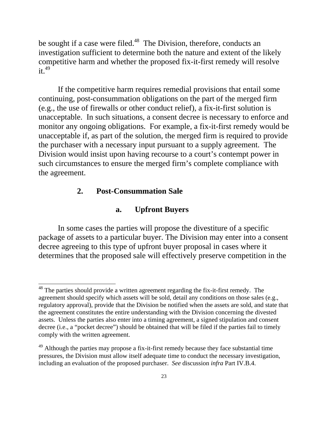<span id="page-26-0"></span>be sought if a case were filed.<sup>48</sup> The Division, therefore, conducts an investigation sufficient to determine both the nature and extent of the likely competitive harm and whether the proposed fix-it-first remedy will resolve  $it<sup>49</sup>$ 

If the competitive harm requires remedial provisions that entail some continuing, post-consummation obligations on the part of the merged firm (e.g., the use of firewalls or other conduct relief), a fix-it-first solution is unacceptable. In such situations, a consent decree is necessary to enforce and monitor any ongoing obligations. For example, a fix-it-first remedy would be unacceptable if, as part of the solution, the merged firm is required to provide the purchaser with a necessary input pursuant to a supply agreement. The Division would insist upon having recourse to a court's contempt power in such circumstances to ensure the merged firm's complete compliance with the agreement.

#### **2. Post-Consummation Sale**

 $\overline{a}$ 

#### **a. Upfront Buyers**

In some cases the parties will propose the divestiture of a specific package of assets to a particular buyer. The Division may enter into a consent decree agreeing to this type of upfront buyer proposal in cases where it determines that the proposed sale will effectively preserve competition in the

 $48$  The parties should provide a written agreement regarding the fix-it-first remedy. The agreement should specify which assets will be sold, detail any conditions on those sales (e.g., regulatory approval), provide that the Division be notified when the assets are sold, and state that the agreement constitutes the entire understanding with the Division concerning the divested assets. Unless the parties also enter into a timing agreement, a signed stipulation and consent decree (i.e., a "pocket decree") should be obtained that will be filed if the parties fail to timely comply with the written agreement.

 $49$  Although the parties may propose a fix-it-first remedy because they face substantial time pressures, the Division must allow itself adequate time to conduct the necessary investigation, including an evaluation of the proposed purchaser. *See* discussion *infra* Part IV.B.4.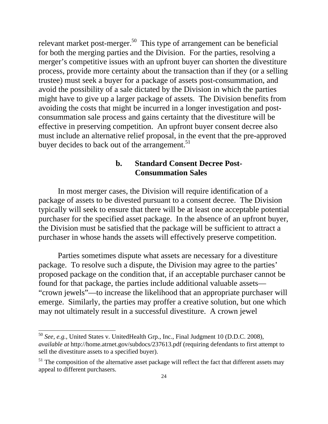<span id="page-27-0"></span>relevant market post-merger.<sup>50</sup> This type of arrangement can be beneficial for both the merging parties and the Division. For the parties, resolving a merger's competitive issues with an upfront buyer can shorten the divestiture process, provide more certainty about the transaction than if they (or a selling trustee) must seek a buyer for a package of assets post-consummation, and avoid the possibility of a sale dictated by the Division in which the parties might have to give up a larger package of assets. The Division benefits from avoiding the costs that might be incurred in a longer investigation and postconsummation sale process and gains certainty that the divestiture will be effective in preserving competition. An upfront buyer consent decree also must include an alternative relief proposal, in the event that the pre-approved buyer decides to back out of the arrangement. $51$ 

## **b. Standard Consent Decree Post-Consummation Sales**

In most merger cases, the Division will require identification of a package of assets to be divested pursuant to a consent decree. The Division typically will seek to ensure that there will be at least one acceptable potential purchaser for the specified asset package. In the absence of an upfront buyer, the Division must be satisfied that the package will be sufficient to attract a purchaser in whose hands the assets will effectively preserve competition.

Parties sometimes dispute what assets are necessary for a divestiture package. To resolve such a dispute, the Division may agree to the parties' proposed package on the condition that, if an acceptable purchaser cannot be found for that package, the parties include additional valuable assets— "crown jewels"—to increase the likelihood that an appropriate purchaser will emerge. Similarly, the parties may proffer a creative solution, but one which may not ultimately result in a successful divestiture. A crown jewel

<sup>50</sup>*See, e.g.*, United States v. UnitedHealth Grp., Inc., Final Judgment 10 (D.D.C. 2008), *available at* http://home.atrnet.gov/subdocs/237613.pdf (requiring defendants to first attempt to sell the divestiture assets to a specified buyer).

 $51$  The composition of the alternative asset package will reflect the fact that different assets may appeal to different purchasers.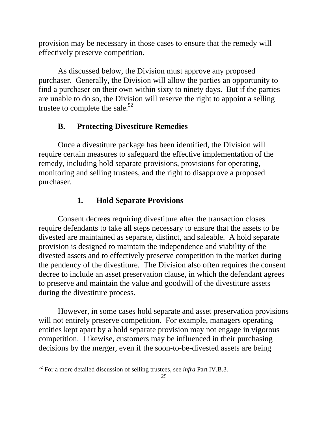<span id="page-28-0"></span>provision may be necessary in those cases to ensure that the remedy will effectively preserve competition.

trustee to complete the sale.<sup>52</sup> As discussed below, the Division must approve any proposed purchaser. Generally, the Division will allow the parties an opportunity to find a purchaser on their own within sixty to ninety days. But if the parties are unable to do so, the Division will reserve the right to appoint a selling

# **B. Protecting Divestiture Remedies**

Once a divestiture package has been identified, the Division will require certain measures to safeguard the effective implementation of the remedy, including hold separate provisions, provisions for operating, monitoring and selling trustees, and the right to disapprove a proposed purchaser.

# **1. Hold Separate Provisions**

Consent decrees requiring divestiture after the transaction closes require defendants to take all steps necessary to ensure that the assets to be divested are maintained as separate, distinct, and saleable. A hold separate provision is designed to maintain the independence and viability of the divested assets and to effectively preserve competition in the market during the pendency of the divestiture. The Division also often requires the consent decree to include an asset preservation clause, in which the defendant agrees to preserve and maintain the value and goodwill of the divestiture assets during the divestiture process.

However, in some cases hold separate and asset preservation provisions will not entirely preserve competition. For example, managers operating entities kept apart by a hold separate provision may not engage in vigorous competition. Likewise, customers may be influenced in their purchasing decisions by the merger, even if the soon-to-be-divested assets are being

<sup>52</sup> For a more detailed discussion of selling trustees, see *infra* Part IV.B.3.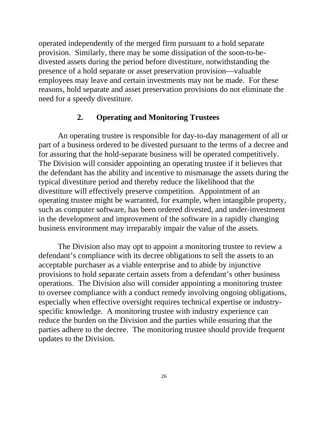<span id="page-29-0"></span>operated independently of the merged firm pursuant to a hold separate provision. Similarly, there may be some dissipation of the soon-to-bedivested assets during the period before divestiture, notwithstanding the presence of a hold separate or asset preservation provision—valuable employees may leave and certain investments may not be made. For these reasons, hold separate and asset preservation provisions do not eliminate the need for a speedy divestiture.

## **2. Operating and Monitoring Trustees**

An operating trustee is responsible for day-to-day management of all or part of a business ordered to be divested pursuant to the terms of a decree and for assuring that the hold-separate business will be operated competitively. The Division will consider appointing an operating trustee if it believes that the defendant has the ability and incentive to mismanage the assets during the typical divestiture period and thereby reduce the likelihood that the divestiture will effectively preserve competition. Appointment of an operating trustee might be warranted, for example, when intangible property, such as computer software, has been ordered divested, and under-investment in the development and improvement of the software in a rapidly changing business environment may irreparably impair the value of the assets.

The Division also may opt to appoint a monitoring trustee to review a defendant's compliance with its decree obligations to sell the assets to an acceptable purchaser as a viable enterprise and to abide by injunctive provisions to hold separate certain assets from a defendant's other business operations. The Division also will consider appointing a monitoring trustee to oversee compliance with a conduct remedy involving ongoing obligations, especially when effective oversight requires technical expertise or industryspecific knowledge. A monitoring trustee with industry experience can reduce the burden on the Division and the parties while ensuring that the parties adhere to the decree. The monitoring trustee should provide frequent updates to the Division.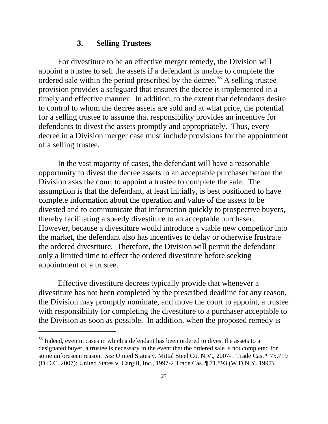#### **3. Selling Trustees**

<span id="page-30-0"></span>For divestiture to be an effective merger remedy, the Division will appoint a trustee to sell the assets if a defendant is unable to complete the ordered sale within the period prescribed by the decree.<sup>53</sup> A selling trustee provision provides a safeguard that ensures the decree is implemented in a timely and effective manner. In addition, to the extent that defendants desire to control to whom the decree assets are sold and at what price, the potential for a selling trustee to assume that responsibility provides an incentive for defendants to divest the assets promptly and appropriately. Thus, every decree in a Division merger case must include provisions for the appointment of a selling trustee.

In the vast majority of cases, the defendant will have a reasonable opportunity to divest the decree assets to an acceptable purchaser before the Division asks the court to appoint a trustee to complete the sale. The assumption is that the defendant, at least initially, is best positioned to have complete information about the operation and value of the assets to be divested and to communicate that information quickly to prospective buyers, thereby facilitating a speedy divestiture to an acceptable purchaser. However, because a divestiture would introduce a viable new competitor into the market, the defendant also has incentives to delay or otherwise frustrate the ordered divestiture. Therefore, the Division will permit the defendant only a limited time to effect the ordered divestiture before seeking appointment of a trustee.

Effective divestiture decrees typically provide that whenever a divestiture has not been completed by the prescribed deadline for any reason, the Division may promptly nominate, and move the court to appoint, a trustee with responsibility for completing the divestiture to a purchaser acceptable to the Division as soon as possible. In addition, when the proposed remedy is

<sup>&</sup>lt;sup>53</sup> Indeed, even in cases in which a defendant has been ordered to divest the assets to a designated buyer, a trustee is necessary in the event that the ordered sale is not completed for some unforeseen reason. *See* United States v. Mittal Steel Co. N.V., 2007-1 Trade Cas. ¶ 75,719 (D.D.C. 2007); United States v. Cargill, Inc*.,* 1997-2 Trade Cas. ¶ 71,893 (W.D.N.Y. 1997).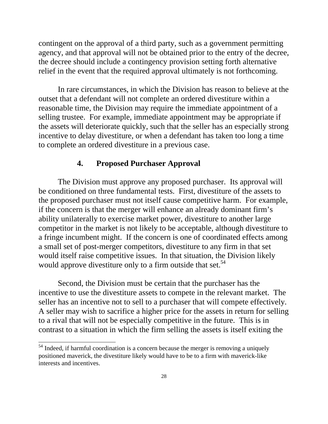<span id="page-31-0"></span>contingent on the approval of a third party, such as a government permitting agency, and that approval will not be obtained prior to the entry of the decree, the decree should include a contingency provision setting forth alternative relief in the event that the required approval ultimately is not forthcoming.

In rare circumstances, in which the Division has reason to believe at the outset that a defendant will not complete an ordered divestiture within a reasonable time, the Division may require the immediate appointment of a selling trustee. For example, immediate appointment may be appropriate if the assets will deteriorate quickly, such that the seller has an especially strong incentive to delay divestiture, or when a defendant has taken too long a time to complete an ordered divestiture in a previous case.

#### **4. Proposed Purchaser Approval**

The Division must approve any proposed purchaser. Its approval will be conditioned on three fundamental tests. First, divestiture of the assets to the proposed purchaser must not itself cause competitive harm. For example, if the concern is that the merger will enhance an already dominant firm's ability unilaterally to exercise market power, divestiture to another large competitor in the market is not likely to be acceptable, although divestiture to a fringe incumbent might. If the concern is one of coordinated effects among a small set of post-merger competitors, divestiture to any firm in that set would itself raise competitive issues. In that situation, the Division likely would approve divestiture only to a firm outside that set.<sup>54</sup>

Second, the Division must be certain that the purchaser has the incentive to use the divestiture assets to compete in the relevant market. The seller has an incentive not to sell to a purchaser that will compete effectively. A seller may wish to sacrifice a higher price for the assets in return for selling to a rival that will not be especially competitive in the future. This is in contrast to a situation in which the firm selling the assets is itself exiting the

 $<sup>54</sup>$  Indeed, if harmful coordination is a concern because the merger is removing a uniquely</sup> positioned maverick, the divestiture likely would have to be to a firm with maverick-like interests and incentives.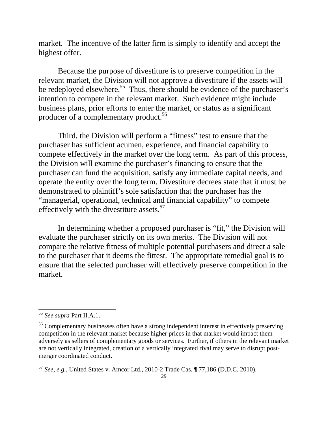market. The incentive of the latter firm is simply to identify and accept the highest offer.

producer of a complementary product.<sup>56</sup> Because the purpose of divestiture is to preserve competition in the relevant market, the Division will not approve a divestiture if the assets will be redeployed elsewhere.<sup>55</sup> Thus, there should be evidence of the purchaser's intention to compete in the relevant market. Such evidence might include business plans, prior efforts to enter the market, or status as a significant

Third, the Division will perform a "fitness" test to ensure that the purchaser has sufficient acumen, experience, and financial capability to compete effectively in the market over the long term. As part of this process, the Division will examine the purchaser's financing to ensure that the purchaser can fund the acquisition, satisfy any immediate capital needs, and operate the entity over the long term. Divestiture decrees state that it must be demonstrated to plaintiff's sole satisfaction that the purchaser has the "managerial, operational, technical and financial capability" to compete effectively with the divestiture assets.<sup>57</sup>

In determining whether a proposed purchaser is "fit," the Division will evaluate the purchaser strictly on its own merits. The Division will not compare the relative fitness of multiple potential purchasers and direct a sale to the purchaser that it deems the fittest. The appropriate remedial goal is to ensure that the selected purchaser will effectively preserve competition in the market.

<sup>55</sup>*See supra* Part II.A.1.

<sup>&</sup>lt;sup>56</sup> Complementary businesses often have a strong independent interest in effectively preserving competition in the relevant market because higher prices in that market would impact them adversely as sellers of complementary goods or services. Further, if others in the relevant mark et are not vertically integrated, creation of a vertically integrated rival may serve to disrupt postmerger coordinated conduct.

<sup>57</sup>*See, e.g.*, United States v. Amcor Ltd., 2010-2 Trade Cas. ¶ 77,186 (D.D.C. 2010).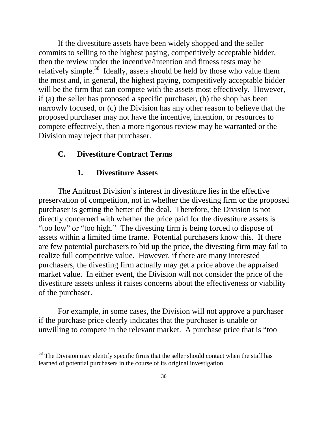<span id="page-33-0"></span>If the divestiture assets have been widely shopped and the seller commits to selling to the highest paying, competitively acceptable bidder, then the review under the incentive/intention and fitness tests may be relatively simple.<sup>58</sup> Ideally, assets should be held by those who value them the most and, in general, the highest paying, competitively acceptable bidder will be the firm that can compete with the assets most effectively. However, if (a) the seller has proposed a specific purchaser, (b) the shop has been narrowly focused, or (c) the Division has any other reason to believe that the proposed purchaser may not have the incentive, intention, or resources to compete effectively, then a more rigorous review may be warranted or the Division may reject that purchaser.

## **C. Divestiture Contract Terms**

## **1. Divestiture Assets**

 $\overline{\phantom{a}}$ 

The Antitrust Division's interest in divestiture lies in the effective preservation of competition, not in whether the divesting firm or the proposed purchaser is getting the better of the deal. Therefore, the Division is not directly concerned with whether the price paid for the divestiture assets is "too low" or "too high." The divesting firm is being forced to dispose of assets within a limited time frame. Potential purchasers know this. If there are few potential purchasers to bid up the price, the divesting firm may fail to realize full competitive value. However, if there are many interested purchasers, the divesting firm actually may get a price above the appraised market value. In either event, the Division will not consider the price of the divestiture assets unless it raises concerns about the effectiveness or viability of the purchaser.

For example, in some cases, the Division will not approve a purchaser if the purchase price clearly indicates that the purchaser is unable or unwilling to compete in the relevant market. A purchase price that is "too

<sup>&</sup>lt;sup>58</sup> The Division may identify specific firms that the seller should contact when the staff has learned of potential purchasers in the course of its original investigation.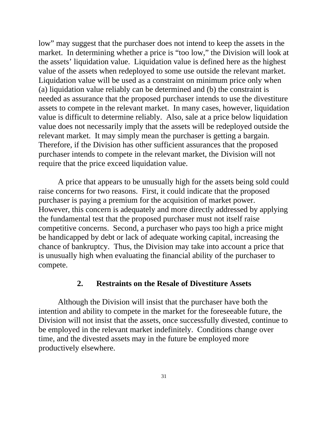<span id="page-34-0"></span>value of the assets when redeployed to some use outside the relevant market. low" may suggest that the purchaser does not intend to keep the assets in the market. In determining whether a price is "too low," the Division will look at the assets' liquidation value. Liquidation value is defined here as the highest Liquidation value will be used as a constraint on minimum price only when (a) liquidation value reliably can be determined and (b) the constraint is needed as assurance that the proposed purchaser intends to use the divestiture assets to compete in the relevant market. In many cases, however, liquidation value is difficult to determine reliably. Also, sale at a price below liquidation value does not necessarily imply that the assets will be redeployed outside the relevant market. It may simply mean the purchaser is getting a bargain. Therefore, if the Division has other sufficient assurances that the proposed purchaser intends to compete in the relevant market, the Division will not require that the price exceed liquidation value.

A price that appears to be unusually high for the assets being sold could raise concerns for two reasons. First, it could indicate that the proposed purchaser is paying a premium for the acquisition of market power. However, this concern is adequately and more directly addressed by applying the fundamental test that the proposed purchaser must not itself raise competitive concerns. Second, a purchaser who pays too high a price might be handicapped by debt or lack of adequate working capital, increasing the chance of bankruptcy. Thus, the Division may take into account a price that is unusually high when evaluating the financial ability of the purchaser to compete.

#### **2. Restraints on the Resale of Divestiture Assets**

Although the Division will insist that the purchaser have both the intention and ability to compete in the market for the foreseeable future, the Division will not insist that the assets, once successfully divested, continue to be employed in the relevant market indefinitely. Conditions change over time, and the divested assets may in the future be employed more productively elsewhere.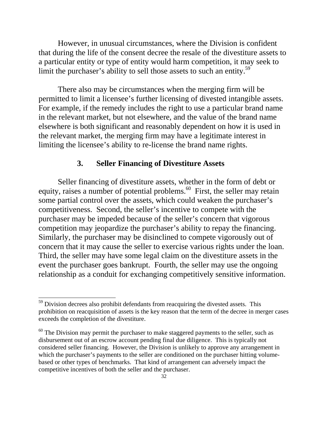<span id="page-35-0"></span>However, in unusual circumstances, where the Division is confident that during the life of the consent decree the resale of the divestiture assets to a particular entity or type of entity would harm competition, it may seek to limit the purchaser's ability to sell those assets to such an entity.<sup>59</sup>

There also may be circumstances when the merging firm will be permitted to limit a licensee's further licensing of divested intangible assets. For example, if the remedy includes the right to use a particular brand name in the relevant market, but not elsewhere, and the value of the brand name elsewhere is both significant and reasonably dependent on how it is used in the relevant market, the merging firm may have a legitimate interest in limiting the licensee's ability to re-license the brand name rights.

## **3. Seller Financing of Divestiture Assets**

Seller financing of divestiture assets, whether in the form of debt or equity, raises a number of potential problems. $60$  First, the seller may retain some partial control over the assets, which could weaken the purchaser's competitiveness. Second, the seller's incentive to compete with the purchaser may be impeded because of the seller's concern that vigorous competition may jeopardize the purchaser's ability to repay the financing. Similarly, the purchaser may be disinclined to compete vigorously out of concern that it may cause the seller to exercise various rights under the loan. Third, the seller may have some legal claim on the divestiture assets in the event the purchaser goes bankrupt. Fourth, the seller may use the ongoing relationship as a conduit for exchanging competitively sensitive information.

 $59$  Division decrees also prohibit defendants from reacquiring the divested assets. This prohibition on reacquisition of assets is the key reason that the term of the decree in merger cases exceeds the completion of the divestiture.

 $60$  The Division may permit the purchaser to make staggered payments to the seller, such as disbursement out of an escrow account pending final due diligence. This is typically not considered seller financing. However, the Division is unlikely to approve any arrangement in which the purchaser's payments to the seller are conditioned on the purchaser hitting volumebased or other types of benchmarks. That kind of arrangement can adversely impact the competitive incentives of both the seller and the purchaser.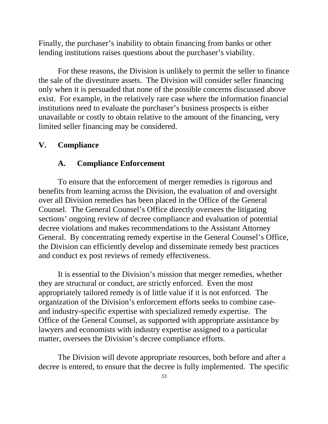<span id="page-36-0"></span>Finally, the purchaser's inability to obtain financing from banks or other lending institutions raises questions about the purchaser's viability.

For these reasons, the Division is unlikely to permit the seller to finance the sale of the divestiture assets. The Division will consider seller financing only when it is persuaded that none of the possible concerns discussed above exist. For example, in the relatively rare case where the information financial institutions need to evaluate the purchaser's business prospects is either unavailable or costly to obtain relative to the amount of the financing, very limited seller financing may be considered.

#### **V. Compliance**

#### **A. Compliance Enforcement**

To ensure that the enforcement of merger remedies is rigorous and benefits from learning across the Division, the evaluation of and oversight over all Division remedies has been placed in the Office of the General Counsel. The General Counsel's Office directly oversees the litigating sections' ongoing review of decree compliance and evaluation of potential decree violations and makes recommendations to the Assistant Attorney General. By concentrating remedy expertise in the General Counsel's Office, the Division can efficiently develop and disseminate remedy best practices and conduct ex post reviews of remedy effectiveness.

It is essential to the Division's mission that merger remedies, whether they are structural or conduct, are strictly enforced. Even the most appropriately tailored remedy is of little value if it is not enforced. The organization of the Division's enforcement efforts seeks to combine caseand industry-specific expertise with specialized remedy expertise. The Office of the General Counsel, as supported with appropriate assistance by lawyers and economists with industry expertise assigned to a particular matter, oversees the Division's decree compliance efforts.

The Division will devote appropriate resources, both before and after a decree is entered, to ensure that the decree is fully implemented. The specific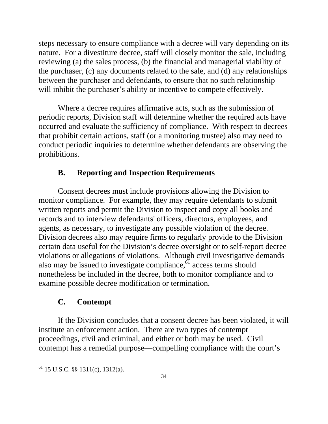<span id="page-37-0"></span>steps necessary to ensure compliance with a decree will vary depending on its nature. For a divestiture decree, staff will closely monitor the sale, including reviewing (a) the sales process, (b) the financial and managerial viability of the purchaser, (c) any documents related to the sale, and (d) any relationships between the purchaser and defendants, to ensure that no such relationship will inhibit the purchaser's ability or incentive to compete effectively.

Where a decree requires affirmative acts, such as the submission of periodic reports, Division staff will determine whether the required acts have occurred and evaluate the sufficiency of compliance. With respect to decrees that prohibit certain actions, staff (or a monitoring trustee) also may need to conduct periodic inquiries to determine whether defendants are observing the prohibitions.

## **B. Reporting and Inspection Requirements**

Consent decrees must include provisions allowing the Division to monitor compliance. For example, they may require defendants to submit written reports and permit the Division to inspect and copy all books and records and to interview defendants' officers, directors, employees, and agents, as necessary, to investigate any possible violation of the decree. Division decrees also may require firms to regularly provide to the Division certain data useful for the Division's decree oversight or to self-report decree violations or allegations of violations. Although civil investigative demands also may be issued to investigate compliance, $\delta$ <sup>1</sup> access terms should nonetheless be included in the decree, both to monitor compliance and to examine possible decree modification or termination.

#### **C. Contempt**

If the Division concludes that a consent decree has been violated, it will institute an enforcement action. There are two types of contempt proceedings, civil and criminal, and either or both may be used. Civil contempt has a remedial purpose—compelling compliance with the court's

 $61$  15 U.S.C. §§ 1311(c), 1312(a).